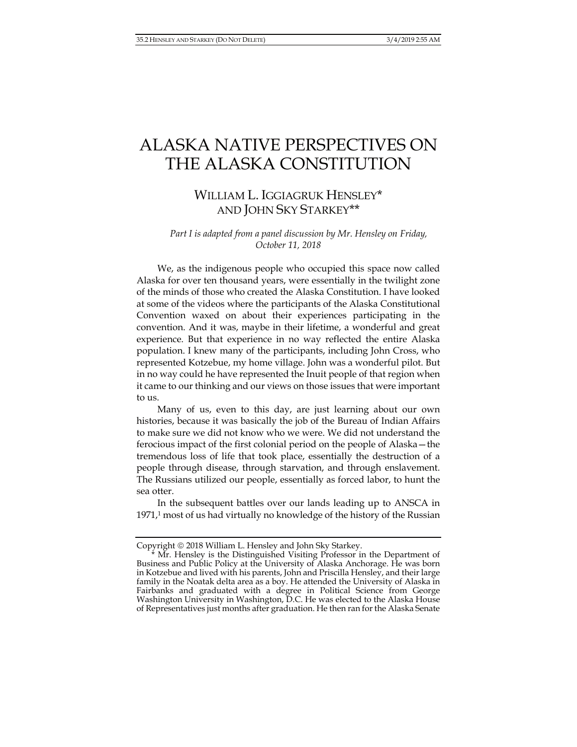## ALASKA NATIVE PERSPECTIVES ON THE ALASKA CONSTITUTION

## WILLIAM L. IGGIAGRUK HENSLEY\* AND JOHN SKY STARKEY\*\*

*Part I is adapted from a panel discussion by Mr. Hensley on Friday, October 11, 2018* 

We, as the indigenous people who occupied this space now called Alaska for over ten thousand years, were essentially in the twilight zone of the minds of those who created the Alaska Constitution. I have looked at some of the videos where the participants of the Alaska Constitutional Convention waxed on about their experiences participating in the convention. And it was, maybe in their lifetime, a wonderful and great experience. But that experience in no way reflected the entire Alaska population. I knew many of the participants, including John Cross, who represented Kotzebue, my home village. John was a wonderful pilot. But in no way could he have represented the Inuit people of that region when it came to our thinking and our views on those issues that were important to us.

Many of us, even to this day, are just learning about our own histories, because it was basically the job of the Bureau of Indian Affairs to make sure we did not know who we were. We did not understand the ferocious impact of the first colonial period on the people of Alaska—the tremendous loss of life that took place, essentially the destruction of a people through disease, through starvation, and through enslavement. The Russians utilized our people, essentially as forced labor, to hunt the sea otter.

In the subsequent battles over our lands leading up to ANSCA in 1971,<sup>1</sup> most of us had virtually no knowledge of the history of the Russian

Copyright 2018 William L. Hensley and John Sky Starkey.

Mr. Hensley is the Distinguished Visiting Professor in the Department of Business and Public Policy at the University of Alaska Anchorage. He was born in Kotzebue and lived with his parents, John and Priscilla Hensley, and their large family in the Noatak delta area as a boy. He attended the University of Alaska in Fairbanks and graduated with a degree in Political Science from George Washington University in Washington, D.C. He was elected to the Alaska House of Representatives just months after graduation. He then ran for the Alaska Senate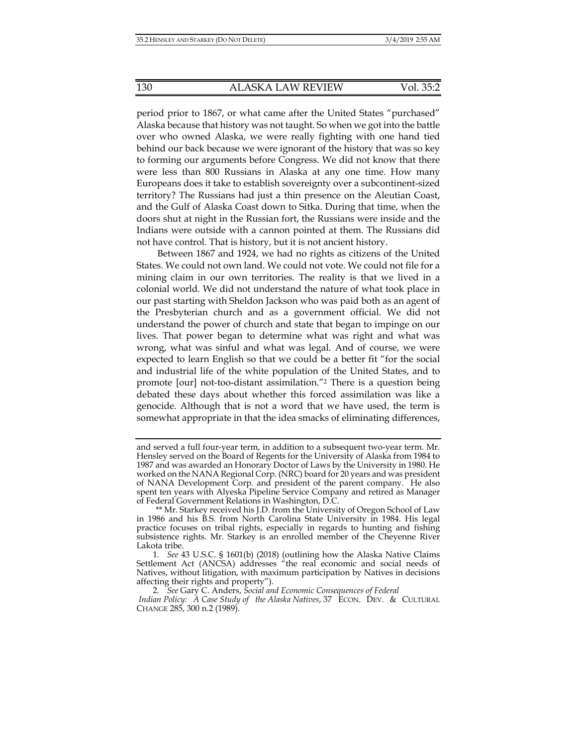period prior to 1867, or what came after the United States "purchased" Alaska because that history was not taught. So when we got into the battle over who owned Alaska, we were really fighting with one hand tied behind our back because we were ignorant of the history that was so key to forming our arguments before Congress. We did not know that there were less than 800 Russians in Alaska at any one time. How many Europeans does it take to establish sovereignty over a subcontinent-sized territory? The Russians had just a thin presence on the Aleutian Coast, and the Gulf of Alaska Coast down to Sitka. During that time, when the doors shut at night in the Russian fort, the Russians were inside and the Indians were outside with a cannon pointed at them. The Russians did not have control. That is history, but it is not ancient history.

Between 1867 and 1924, we had no rights as citizens of the United States. We could not own land. We could not vote. We could not file for a mining claim in our own territories. The reality is that we lived in a colonial world. We did not understand the nature of what took place in our past starting with Sheldon Jackson who was paid both as an agent of the Presbyterian church and as a government official. We did not understand the power of church and state that began to impinge on our lives. That power began to determine what was right and what was wrong, what was sinful and what was legal. And of course, we were expected to learn English so that we could be a better fit "for the social and industrial life of the white population of the United States, and to promote [our] not-too-distant assimilation."2 There is a question being debated these days about whether this forced assimilation was like a genocide. Although that is not a word that we have used, the term is somewhat appropriate in that the idea smacks of eliminating differences,

and served a full four-year term, in addition to a subsequent two-year term. Mr. Hensley served on the Board of Regents for the University of Alaska from 1984 to 1987 and was awarded an Honorary Doctor of Laws by the University in 1980. He worked on the NANA Regional Corp. (NRC) board for 20 years and was president of NANA Development Corp. and president of the parent company. He also spent ten years with Alyeska Pipeline Service Company and retired as Manager of Federal Government Relations in Washington, D.C.

 <sup>\*\*</sup> Mr. Starkey received his J.D. from the University of Oregon School of Law in 1986 and his B.S. from North Carolina State University in 1984. His legal practice focuses on tribal rights, especially in regards to hunting and fishing subsistence rights. Mr. Starkey is an enrolled member of the Cheyenne River Lakota tribe.

 <sup>1.</sup> *See* 43 U.S.C. § 1601(b) (2018) (outlining how the Alaska Native Claims Settlement Act (ANCSA) addresses "the real economic and social needs of Natives, without litigation, with maximum participation by Natives in decisions affecting their rights and property").

 <sup>2.</sup> *See* Gary C. Anders, *Social and Economic Consequences of Federal Indian Policy: A Case Study of the Alaska Natives, 37 ECON. DEV. & CULTURAL* 

CHANGE 285, 300 n.2 (1989).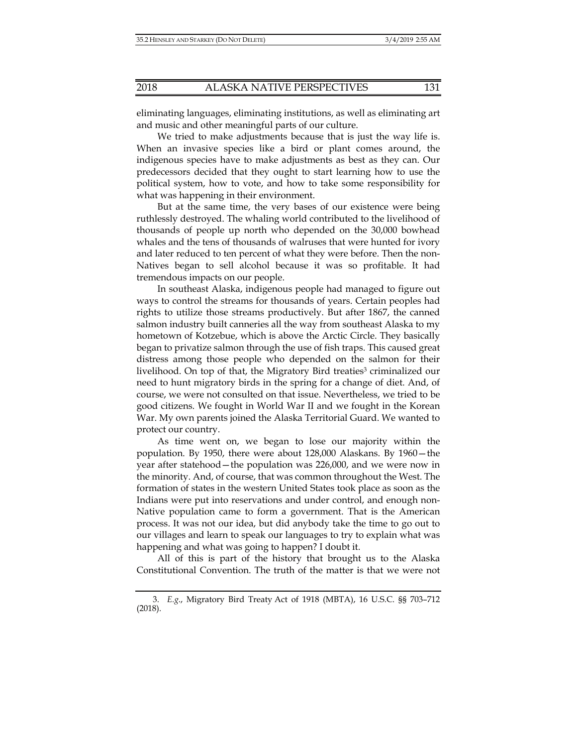eliminating languages, eliminating institutions, as well as eliminating art and music and other meaningful parts of our culture.

We tried to make adjustments because that is just the way life is. When an invasive species like a bird or plant comes around, the indigenous species have to make adjustments as best as they can. Our predecessors decided that they ought to start learning how to use the political system, how to vote, and how to take some responsibility for what was happening in their environment.

But at the same time, the very bases of our existence were being ruthlessly destroyed. The whaling world contributed to the livelihood of thousands of people up north who depended on the 30,000 bowhead whales and the tens of thousands of walruses that were hunted for ivory and later reduced to ten percent of what they were before. Then the non-Natives began to sell alcohol because it was so profitable. It had tremendous impacts on our people.

In southeast Alaska, indigenous people had managed to figure out ways to control the streams for thousands of years. Certain peoples had rights to utilize those streams productively. But after 1867, the canned salmon industry built canneries all the way from southeast Alaska to my hometown of Kotzebue, which is above the Arctic Circle. They basically began to privatize salmon through the use of fish traps. This caused great distress among those people who depended on the salmon for their livelihood. On top of that, the Migratory Bird treaties<sup>3</sup> criminalized our need to hunt migratory birds in the spring for a change of diet. And, of course, we were not consulted on that issue. Nevertheless, we tried to be good citizens. We fought in World War II and we fought in the Korean War. My own parents joined the Alaska Territorial Guard. We wanted to protect our country.

As time went on, we began to lose our majority within the population. By 1950, there were about 128,000 Alaskans. By 1960—the year after statehood—the population was 226,000, and we were now in the minority. And, of course, that was common throughout the West. The formation of states in the western United States took place as soon as the Indians were put into reservations and under control, and enough non-Native population came to form a government. That is the American process. It was not our idea, but did anybody take the time to go out to our villages and learn to speak our languages to try to explain what was happening and what was going to happen? I doubt it.

All of this is part of the history that brought us to the Alaska Constitutional Convention. The truth of the matter is that we were not

 <sup>3.</sup> *E.g*., Migratory Bird Treaty Act of 1918 (MBTA), 16 U.S.C. §§ 703–712 (2018).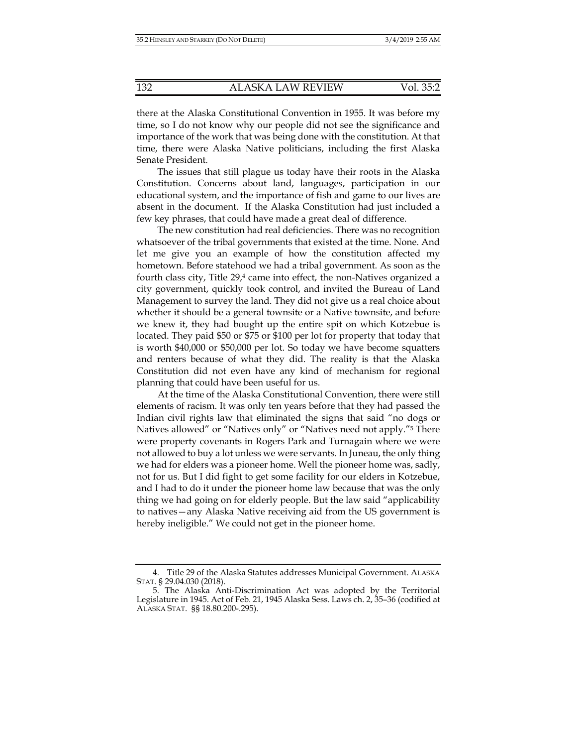there at the Alaska Constitutional Convention in 1955. It was before my time, so I do not know why our people did not see the significance and importance of the work that was being done with the constitution. At that time, there were Alaska Native politicians, including the first Alaska Senate President*.*

The issues that still plague us today have their roots in the Alaska Constitution. Concerns about land, languages, participation in our educational system, and the importance of fish and game to our lives are absent in the document. If the Alaska Constitution had just included a few key phrases, that could have made a great deal of difference.

The new constitution had real deficiencies. There was no recognition whatsoever of the tribal governments that existed at the time. None. And let me give you an example of how the constitution affected my hometown. Before statehood we had a tribal government. As soon as the fourth class city, Title  $29<sup>4</sup>$  came into effect, the non-Natives organized a city government, quickly took control, and invited the Bureau of Land Management to survey the land. They did not give us a real choice about whether it should be a general townsite or a Native townsite, and before we knew it, they had bought up the entire spit on which Kotzebue is located. They paid \$50 or \$75 or \$100 per lot for property that today that is worth \$40,000 or \$50,000 per lot. So today we have become squatters and renters because of what they did. The reality is that the Alaska Constitution did not even have any kind of mechanism for regional planning that could have been useful for us.

At the time of the Alaska Constitutional Convention, there were still elements of racism. It was only ten years before that they had passed the Indian civil rights law that eliminated the signs that said "no dogs or Natives allowed" or "Natives only" or "Natives need not apply."5 There were property covenants in Rogers Park and Turnagain where we were not allowed to buy a lot unless we were servants. In Juneau, the only thing we had for elders was a pioneer home. Well the pioneer home was, sadly, not for us. But I did fight to get some facility for our elders in Kotzebue, and I had to do it under the pioneer home law because that was the only thing we had going on for elderly people. But the law said "applicability to natives—any Alaska Native receiving aid from the US government is hereby ineligible." We could not get in the pioneer home.

 <sup>4.</sup> Title 29 of the Alaska Statutes addresses Municipal Government. ALASKA STAT. § 29.04.030 (2018).

 <sup>5.</sup> The Alaska Anti-Discrimination Act was adopted by the Territorial Legislature in 1945. Act of Feb. 21, 1945 Alaska Sess. Laws ch. 2, 35–36 (codified at ALASKA STAT. §§ 18.80.200-.295).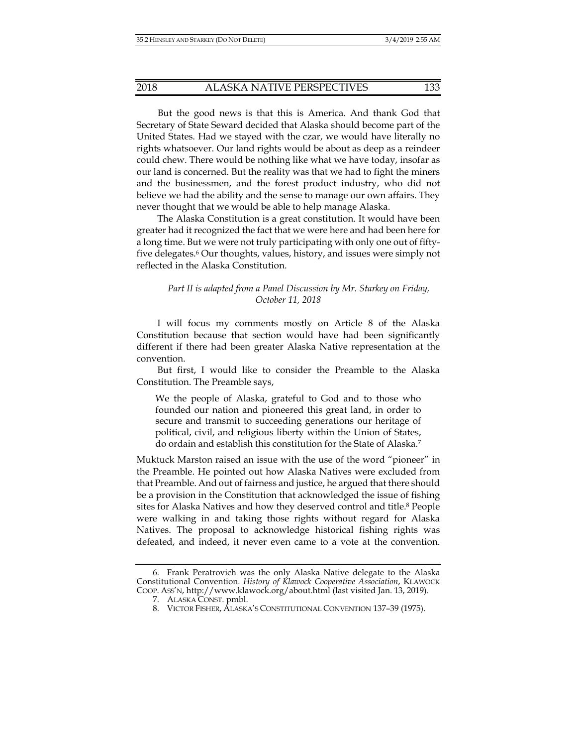But the good news is that this is America. And thank God that Secretary of State Seward decided that Alaska should become part of the United States. Had we stayed with the czar, we would have literally no rights whatsoever. Our land rights would be about as deep as a reindeer could chew. There would be nothing like what we have today, insofar as our land is concerned. But the reality was that we had to fight the miners and the businessmen, and the forest product industry, who did not believe we had the ability and the sense to manage our own affairs. They never thought that we would be able to help manage Alaska.

The Alaska Constitution is a great constitution. It would have been greater had it recognized the fact that we were here and had been here for a long time. But we were not truly participating with only one out of fiftyfive delegates.6 Our thoughts, values, history, and issues were simply not reflected in the Alaska Constitution.

## *Part II is adapted from a Panel Discussion by Mr. Starkey on Friday, October 11, 2018*

I will focus my comments mostly on Article 8 of the Alaska Constitution because that section would have had been significantly different if there had been greater Alaska Native representation at the convention.

But first, I would like to consider the Preamble to the Alaska Constitution. The Preamble says,

We the people of Alaska, grateful to God and to those who founded our nation and pioneered this great land, in order to secure and transmit to succeeding generations our heritage of political, civil, and religious liberty within the Union of States, do ordain and establish this constitution for the State of Alaska.7

Muktuck Marston raised an issue with the use of the word "pioneer" in the Preamble. He pointed out how Alaska Natives were excluded from that Preamble. And out of fairness and justice, he argued that there should be a provision in the Constitution that acknowledged the issue of fishing sites for Alaska Natives and how they deserved control and title.<sup>8</sup> People were walking in and taking those rights without regard for Alaska Natives. The proposal to acknowledge historical fishing rights was defeated, and indeed, it never even came to a vote at the convention.

 <sup>6.</sup> Frank Peratrovich was the only Alaska Native delegate to the Alaska Constitutional Convention. *History of Klawock Cooperative Association*, KLAWOCK COOP. ASS'N, http://www.klawock.org/about.html (last visited Jan. 13, 2019).

 <sup>7.</sup> ALASKA CONST. pmbl.

 <sup>8.</sup> VICTOR FISHER, ALASKA'S CONSTITUTIONAL CONVENTION 137–39 (1975).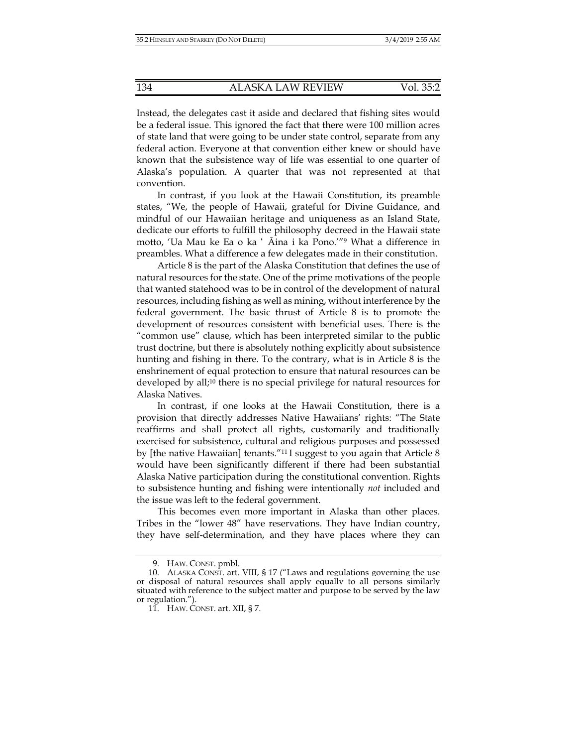Instead, the delegates cast it aside and declared that fishing sites would be a federal issue. This ignored the fact that there were 100 million acres of state land that were going to be under state control, separate from any federal action. Everyone at that convention either knew or should have known that the subsistence way of life was essential to one quarter of Alaska's population. A quarter that was not represented at that convention.

In contrast, if you look at the Hawaii Constitution, its preamble states, "We, the people of Hawaii, grateful for Divine Guidance, and mindful of our Hawaiian heritage and uniqueness as an Island State, dedicate our efforts to fulfill the philosophy decreed in the Hawaii state motto, 'Ua Mau ke Ea o ka ʻ Āina i ka Pono.'"9 What a difference in preambles. What a difference a few delegates made in their constitution.

Article 8 is the part of the Alaska Constitution that defines the use of natural resources for the state. One of the prime motivations of the people that wanted statehood was to be in control of the development of natural resources, including fishing as well as mining, without interference by the federal government. The basic thrust of Article 8 is to promote the development of resources consistent with beneficial uses. There is the "common use" clause, which has been interpreted similar to the public trust doctrine, but there is absolutely nothing explicitly about subsistence hunting and fishing in there. To the contrary, what is in Article 8 is the enshrinement of equal protection to ensure that natural resources can be developed by all;10 there is no special privilege for natural resources for Alaska Natives.

In contrast, if one looks at the Hawaii Constitution, there is a provision that directly addresses Native Hawaiians' rights: "The State reaffirms and shall protect all rights, customarily and traditionally exercised for subsistence, cultural and religious purposes and possessed by [the native Hawaiian] tenants."<sup>11</sup> I suggest to you again that Article 8 would have been significantly different if there had been substantial Alaska Native participation during the constitutional convention. Rights to subsistence hunting and fishing were intentionally *not* included and the issue was left to the federal government.

This becomes even more important in Alaska than other places. Tribes in the "lower 48" have reservations. They have Indian country, they have self-determination, and they have places where they can

 <sup>9.</sup> HAW. CONST. pmbl.

 <sup>10.</sup> ALASKA CONST. art. VIII, § 17 ("Laws and regulations governing the use or disposal of natural resources shall apply equally to all persons similarly situated with reference to the subject matter and purpose to be served by the law or regulation.").

 <sup>11.</sup> HAW. CONST. art. XII, § 7.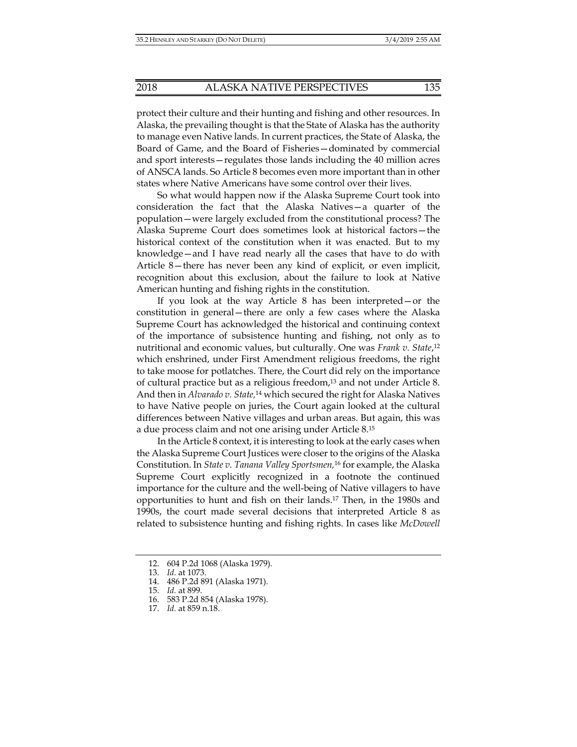protect their culture and their hunting and fishing and other resources. In Alaska, the prevailing thought is that the State of Alaska has the authority to manage even Native lands. In current practices, the State of Alaska, the Board of Game, and the Board of Fisheries—dominated by commercial and sport interests—regulates those lands including the 40 million acres of ANSCA lands. So Article 8 becomes even more important than in other states where Native Americans have some control over their lives.

So what would happen now if the Alaska Supreme Court took into consideration the fact that the Alaska Natives—a quarter of the population—were largely excluded from the constitutional process? The Alaska Supreme Court does sometimes look at historical factors—the historical context of the constitution when it was enacted. But to my knowledge—and I have read nearly all the cases that have to do with Article 8—there has never been any kind of explicit, or even implicit, recognition about this exclusion, about the failure to look at Native American hunting and fishing rights in the constitution.

If you look at the way Article 8 has been interpreted—or the constitution in general—there are only a few cases where the Alaska Supreme Court has acknowledged the historical and continuing context of the importance of subsistence hunting and fishing, not only as to nutritional and economic values, but culturally. One was *Frank v. State*,12 which enshrined, under First Amendment religious freedoms, the right to take moose for potlatches. There, the Court did rely on the importance of cultural practice but as a religious freedom,13 and not under Article 8. And then in *Alvarado v. State,*14 which secured the right for Alaska Natives to have Native people on juries, the Court again looked at the cultural differences between Native villages and urban areas. But again, this was a due process claim and not one arising under Article 8.15

In the Article 8 context, it is interesting to look at the early cases when the Alaska Supreme Court Justices were closer to the origins of the Alaska Constitution. In *State v. Tanana Valley Sportsmen,*16 for example, the Alaska Supreme Court explicitly recognized in a footnote the continued importance for the culture and the well-being of Native villagers to have opportunities to hunt and fish on their lands.17 Then, in the 1980s and 1990s, the court made several decisions that interpreted Article 8 as related to subsistence hunting and fishing rights. In cases like *McDowell* 

 <sup>12. 604</sup> P.2d 1068 (Alaska 1979).

 <sup>13.</sup> *Id.* at 1073.

 <sup>14. 486</sup> P.2d 891 (Alaska 1971).

 <sup>15.</sup> *Id.* at 899.

 <sup>16. 583</sup> P.2d 854 (Alaska 1978).

 <sup>17.</sup> *Id.* at 859 n.18.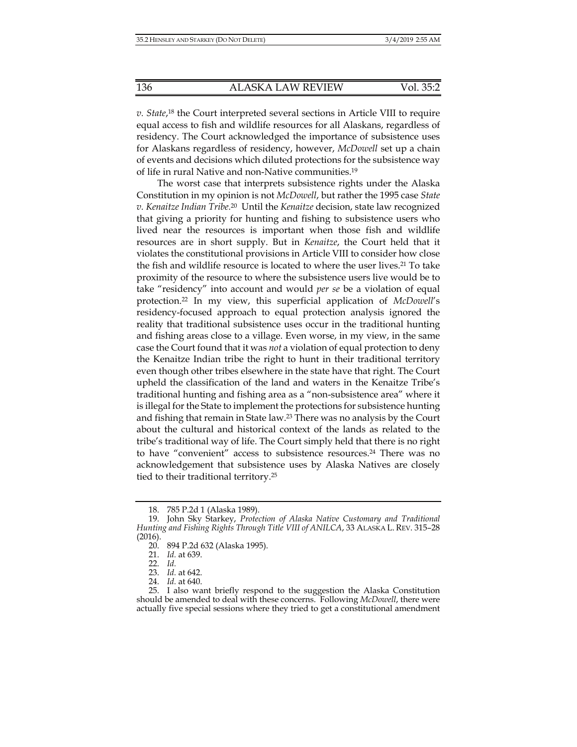*v. State*, 18 the Court interpreted several sections in Article VIII to require equal access to fish and wildlife resources for all Alaskans, regardless of residency. The Court acknowledged the importance of subsistence uses for Alaskans regardless of residency, however, *McDowell* set up a chain of events and decisions which diluted protections for the subsistence way of life in rural Native and non-Native communities.19

The worst case that interprets subsistence rights under the Alaska Constitution in my opinion is not *McDowell*, but rather the 1995 case *State v. Kenaitze Indian Tribe.*20 Until the *Kenaitze* decision, state law recognized that giving a priority for hunting and fishing to subsistence users who lived near the resources is important when those fish and wildlife resources are in short supply. But in *Kenaitze*, the Court held that it violates the constitutional provisions in Article VIII to consider how close the fish and wildlife resource is located to where the user lives.<sup>21</sup> To take proximity of the resource to where the subsistence users live would be to take "residency" into account and would *per se* be a violation of equal protection.22 In my view, this superficial application of *McDowell*'s residency-focused approach to equal protection analysis ignored the reality that traditional subsistence uses occur in the traditional hunting and fishing areas close to a village. Even worse, in my view, in the same case the Court found that it was *not* a violation of equal protection to deny the Kenaitze Indian tribe the right to hunt in their traditional territory even though other tribes elsewhere in the state have that right. The Court upheld the classification of the land and waters in the Kenaitze Tribe's traditional hunting and fishing area as a "non-subsistence area" where it is illegal for the State to implement the protections for subsistence hunting and fishing that remain in State law.23 There was no analysis by the Court about the cultural and historical context of the lands as related to the tribe's traditional way of life. The Court simply held that there is no right to have "convenient" access to subsistence resources.24 There was no acknowledgement that subsistence uses by Alaska Natives are closely tied to their traditional territory.25

 <sup>18. 785</sup> P.2d 1 (Alaska 1989).

 <sup>19.</sup> John Sky Starkey, *Protection of Alaska Native Customary and Traditional Hunting and Fishing Rights Through Title VIII of ANILCA*, 33 ALASKA L. REV. 315–28 (2016).

 <sup>20. 894</sup> P.2d 632 (Alaska 1995).

 <sup>21.</sup> *Id.* at 639.

 <sup>22.</sup> *Id.*

 <sup>23.</sup> *Id.* at 642.

 <sup>24.</sup> *Id.* at 640.

 <sup>25.</sup> I also want briefly respond to the suggestion the Alaska Constitution should be amended to deal with these concerns. Following *McDowell*, there were actually five special sessions where they tried to get a constitutional amendment